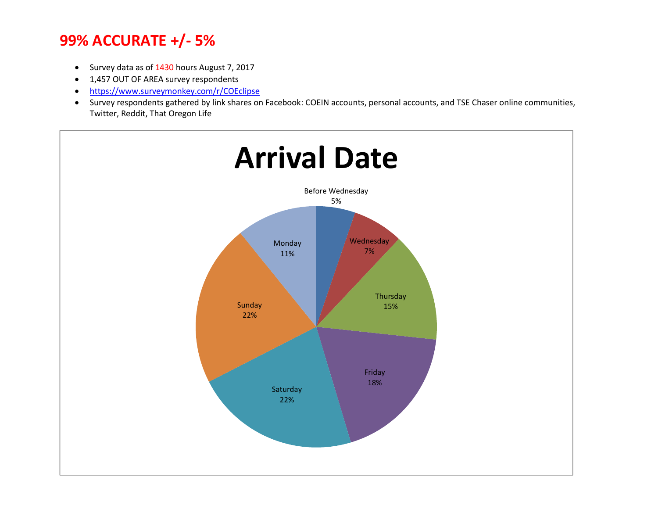- Survey data as of 1430 hours August 7, 2017
- 1,457 OUT OF AREA survey respondents
- https://www.surveymonkey.com/r/COEclipse
- Survey respondents gathered by link shares on Facebook: COEIN accounts, personal accounts, and TSE Chaser online communities, Twitter, Reddit, That Oregon Life

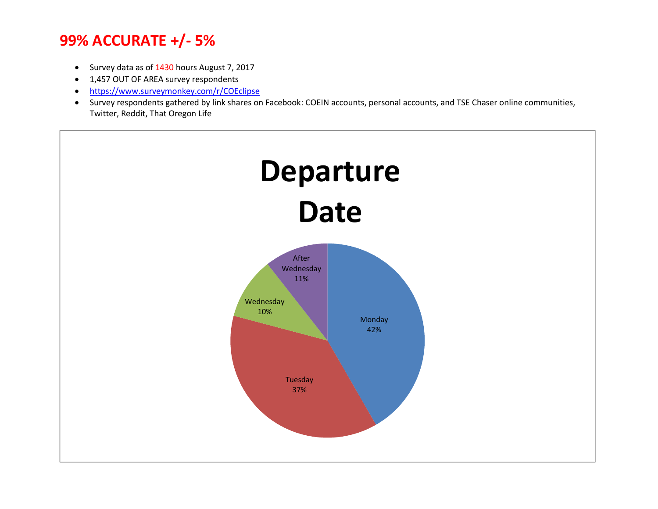- Survey data as of 1430 hours August 7, 2017
- 1,457 OUT OF AREA survey respondents
- https://www.surveymonkey.com/r/COEclipse
- Survey respondents gathered by link shares on Facebook: COEIN accounts, personal accounts, and TSE Chaser online communities, Twitter, Reddit, That Oregon Life

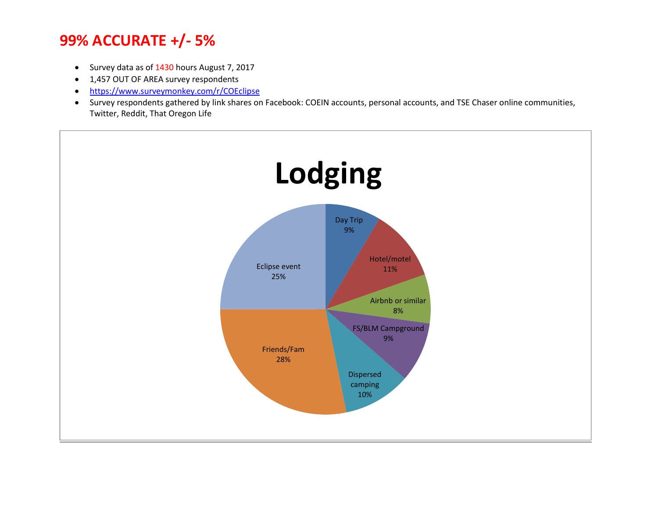- Survey data as of 1430 hours August 7, 2017
- 1,457 OUT OF AREA survey respondents
- https://www.surveymonkey.com/r/COEclipse
- Survey respondents gathered by link shares on Facebook: COEIN accounts, personal accounts, and TSE Chaser online communities, Twitter, Reddit, That Oregon Life

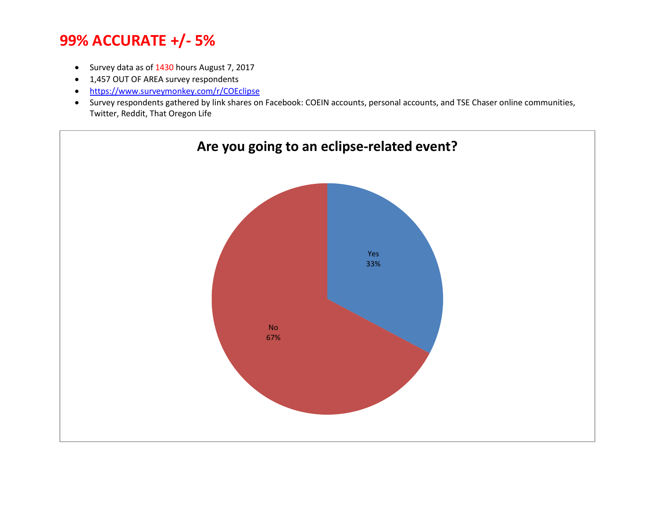- Survey data as of 1430 hours August 7, 2017
- 1,457 OUT OF AREA survey respondents
- https://www.surveymonkey.com/r/COEclipse
- Survey respondents gathered by link shares on Facebook: COEIN accounts, personal accounts, and TSE Chaser online communities, Twitter, Reddit, That Oregon Life